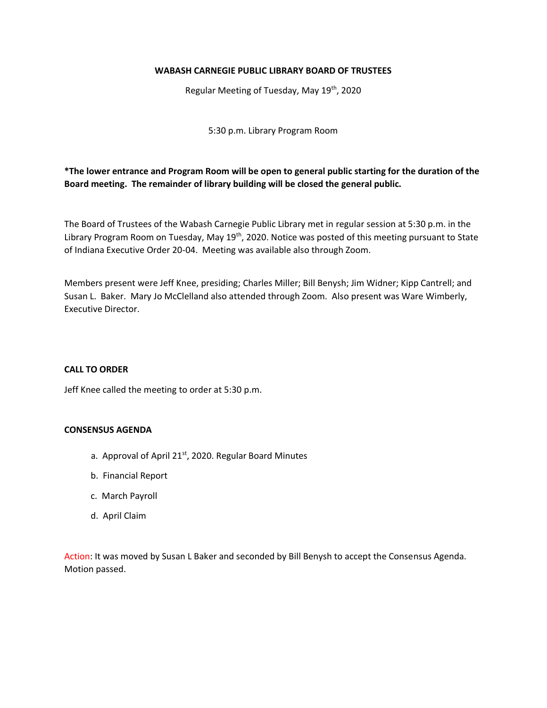## **WABASH CARNEGIE PUBLIC LIBRARY BOARD OF TRUSTEES**

Regular Meeting of Tuesday, May 19th, 2020

5:30 p.m. Library Program Room

**\*The lower entrance and Program Room will be open to general public starting for the duration of the Board meeting. The remainder of library building will be closed the general public.** 

The Board of Trustees of the Wabash Carnegie Public Library met in regular session at 5:30 p.m. in the Library Program Room on Tuesday, May 19<sup>th</sup>, 2020. Notice was posted of this meeting pursuant to State of Indiana Executive Order 20-04. Meeting was available also through Zoom.

Members present were Jeff Knee, presiding; Charles Miller; Bill Benysh; Jim Widner; Kipp Cantrell; and Susan L. Baker. Mary Jo McClelland also attended through Zoom. Also present was Ware Wimberly, Executive Director.

### **CALL TO ORDER**

Jeff Knee called the meeting to order at 5:30 p.m.

#### **CONSENSUS AGENDA**

- a. Approval of April 21<sup>st</sup>, 2020. Regular Board Minutes
	- b. Financial Report
	- c. March Payroll
	- d. April Claim

Action: It was moved by Susan L Baker and seconded by Bill Benysh to accept the Consensus Agenda. Motion passed.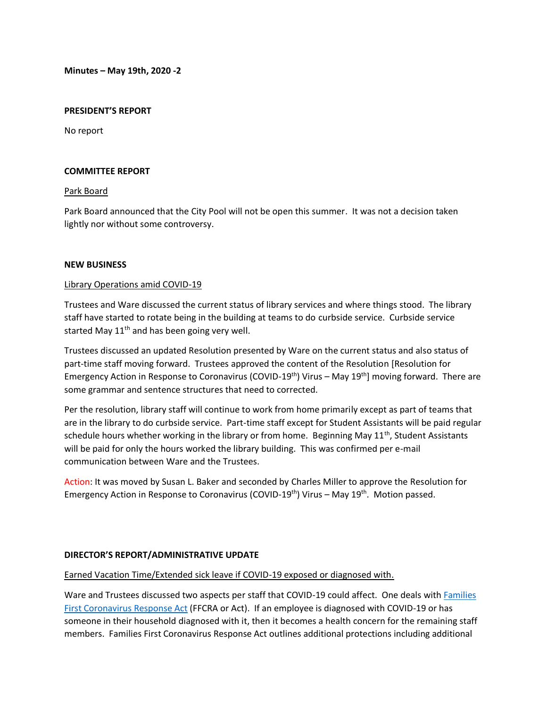**Minutes – May 19th, 2020 -2**

#### **PRESIDENT'S REPORT**

No report

#### **COMMITTEE REPORT**

### Park Board

Park Board announced that the City Pool will not be open this summer. It was not a decision taken lightly nor without some controversy.

### **NEW BUSINESS**

### Library Operations amid COVID-19

Trustees and Ware discussed the current status of library services and where things stood. The library staff have started to rotate being in the building at teams to do curbside service. Curbside service started May  $11<sup>th</sup>$  and has been going very well.

Trustees discussed an updated Resolution presented by Ware on the current status and also status of part-time staff moving forward. Trustees approved the content of the Resolution [Resolution for Emergency Action in Response to Coronavirus (COVID-19<sup>th</sup>) Virus – May 19<sup>th</sup>] moving forward. There are some grammar and sentence structures that need to corrected.

Per the resolution, library staff will continue to work from home primarily except as part of teams that are in the library to do curbside service. Part-time staff except for Student Assistants will be paid regular schedule hours whether working in the library or from home. Beginning May  $11<sup>th</sup>$ , Student Assistants will be paid for only the hours worked the library building. This was confirmed per e-mail communication between Ware and the Trustees.

Action: It was moved by Susan L. Baker and seconded by Charles Miller to approve the Resolution for Emergency Action in Response to Coronavirus (COVID-19<sup>th</sup>) Virus – May 19<sup>th</sup>. Motion passed.

#### **DIRECTOR'S REPORT/ADMINISTRATIVE UPDATE**

# Earned Vacation Time/Extended sick leave if COVID-19 exposed or diagnosed with.

Ware and Trustees discussed two aspects per staff that COVID-19 could affect. One deals wit[h Families](https://www.congress.gov/bill/116th-congress/house-bill/6201)  [First Coronavirus Response Act](https://www.congress.gov/bill/116th-congress/house-bill/6201) (FFCRA or Act). If an employee is diagnosed with COVID-19 or has someone in their household diagnosed with it, then it becomes a health concern for the remaining staff members. Families First Coronavirus Response Act outlines additional protections including additional